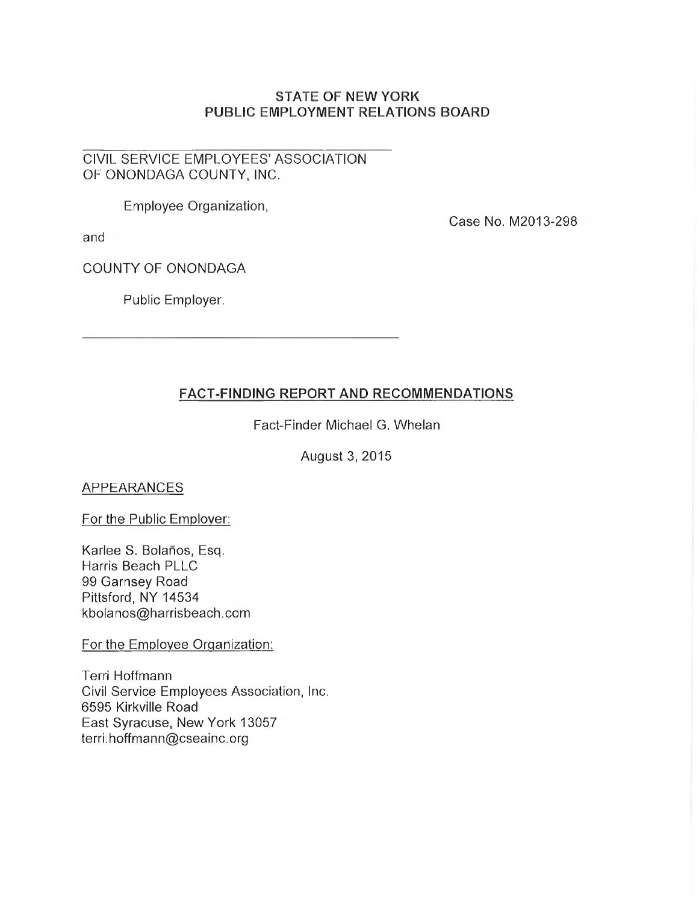## **STATE OF NEW YORK PUBLIC EMPLOYMENT RELATIONS BOARD**

## CIVIL SERVICE EMPLOYEES' ASSOCIATION OF ONONDAGA COUNTY, INC.

Employee Organization,

and

Case No. M2013-298

COUNTY OF ONONDAGA

Public Employer.

# **FACT-FINDING REPORT AND RECOMMENDATIONS**

Fact-Finder Michael G. Whelan

August 3, 2015

APPEARANCES

For the Public Employer:

Karlee S. Bolanos, Esq. Harris Beach PLLC 99 Garnsey Road Pittsford, NY 14534 [kbolanos@harrisbeach.com](mailto:kbolanos@harrisbeach.com)

For the Employee Organization:

Terri Hoffmann Civil Service Employees Association, Inc. 6595 Kirkville Road East Syracuse, New York 13057 [terri.hoffmann@cseainc.org](mailto:terri.hoffmann@cseainc.org)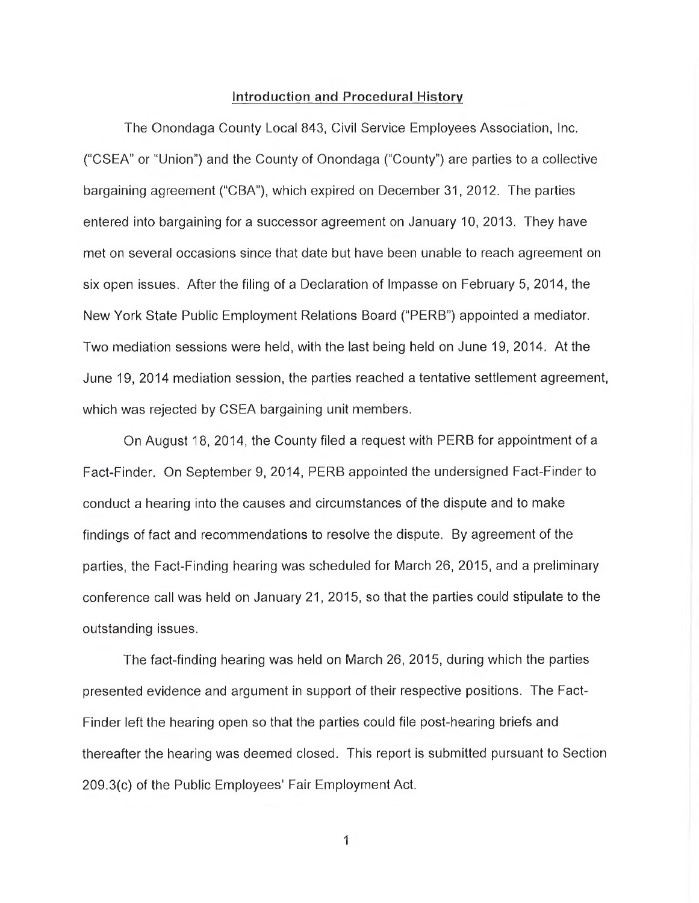#### **Introduction and Procedural History**

The Onondaga County Local 843, Civil Service Employees Association, Inc. ("CSEA" or "Union") and the County of Onondaga ("County") are parties to a collective bargaining agreement ("CBA"), which expired on December 31, 2012. The parties entered into bargaining fora successor agreement on January 10, 2013. They have met on several occasions since that date but have been unable to reach agreement on six open issues. After the filing of a Declaration of Impasse on February 5, 2014, the New York State Public Employment Relations Board ("PERB") appointed a mediator. Two mediation sessions were held, with the last being held on June 19, 2014. At the June 19, 2014 mediation session, the parties reached a tentative settlement agreement, which was rejected by CSEA bargaining unit members.

On August 18, 2014, the County filed a request with PERB for appointment of a Fact-Finder. On September 9, 2014, PERB appointed the undersigned Fact-Finder to conduct a hearing into the causes and circumstances of the dispute and to make findings of fact and recommendations to resolve the dispute. By agreement of the parties, the Fact-Finding hearing was scheduled for March 26, 2015, and a preliminary conference call was held on January 21, 2015, so that the parties could stipulate to the outstanding issues.

The fact-finding hearing was held on March 26, 2015, during which the parties presented evidence and argument in support of their respective positions. The Fact-Finder left the hearing open so that the parties could file post-hearing briefs and thereafter the hearing was deemed closed. This report is submitted pursuant to Section 209.3(c) of the Public Employees' Fair Employment Act.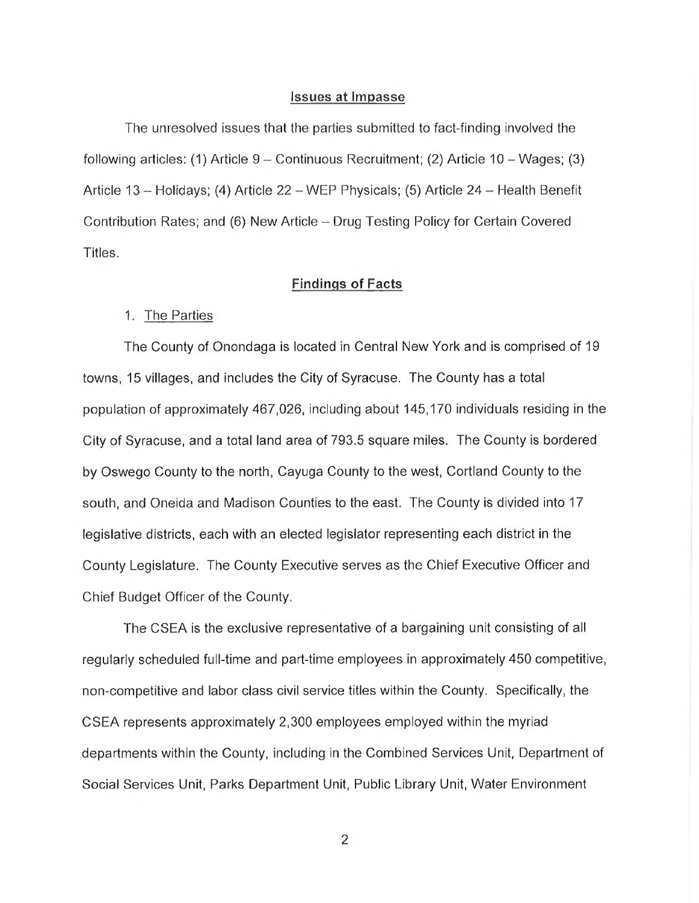#### **Issues at Impasse**

The unresolved issues that the parties submitted to fact-finding involved the following articles: (1) Article  $9 -$  Continuous Recruitment; (2) Article 10 – Wages; (3) Article 13 - Holidays; (4) Article 22 - WEP Physicals; (5) Article 24 - Health Benefit Contribution Rates; and (6) New Article - Drug Testing Policy for Certain Covered Titles.

## **Findings of Facts**

#### 1. The Parties

The County of Onondaga is located in Central New York and is comprised of 19 towns, 15 villages, and includes the City of Syracuse. The County has a total population of approximately 467,026, including about 145,170 individuals residing in the City of Syracuse, and a total land area of 793.5 square miles. The County is bordered by Oswego County to the north, Cayuga County to the west, Cortland County to the south, and Oneida and Madison Counties to the east. The County is divided into 17 legislative districts, each with an elected legislator representing each district in the County Legislature. The County Executive serves as the Chief Executive Officer and Chief Budget Officer of the County.

The CSEA is the exclusive representative of a bargaining unit consisting of all regularly scheduled full-time and part-time employees in approximately 450 competitive, non-competitive and labor class civil service titles within the County. Specifically, the CSEA represents approximately 2,300 employees employed within the myriad departments within the County, including in the Combined Services Unit, Department of Social Services Unit, Parks Department Unit, Public Library Unit, Water Environment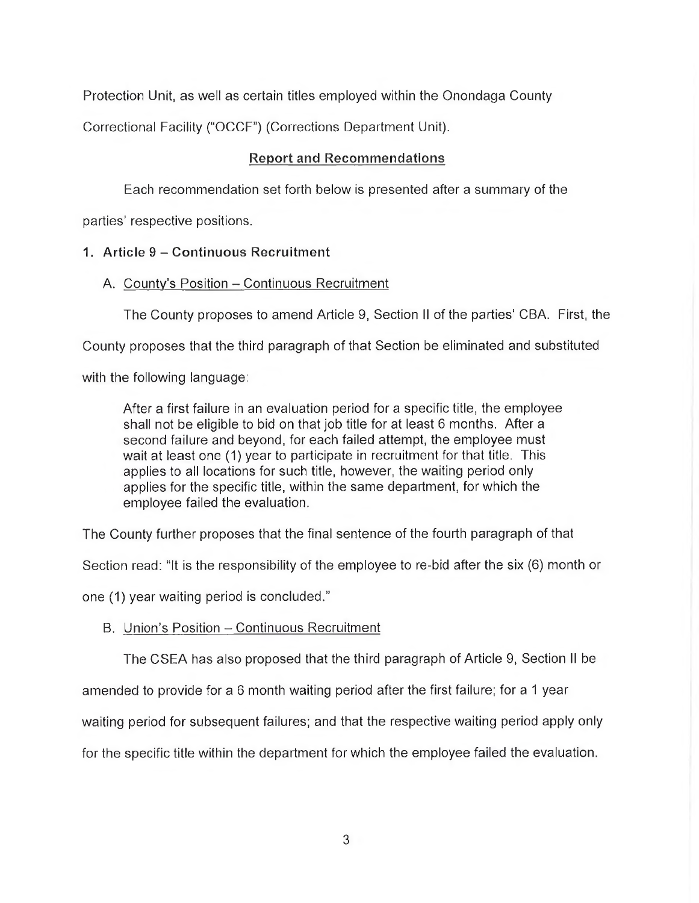Protection Unit, as well as certain titles employed within the Onondaga County

Correctional Facility ("OCCF") (Corrections Department Unit).

# **Report and Recommendations**

Each recommendation set forth below is presented after a summary of the

parties' respective positions.

# **1. Article 9 - Continuous Recruitment**

# A. County's Position - Continuous Recruitment

The County proposes to amend Article 9, Section II of the parties' CBA. First, the

County proposes that the third paragraph of that Section be eliminated and substituted

with the following language:

After a first failure in an evaluation period for a specific title, the employee shall not be eligible to bid on that job title for at least 6 months. After a second failure and beyond, for each failed attempt, the employee must wait at least one (1) year to participate in recruitment for that title. This applies to all locations for such title, however, the waiting period only applies for the specific title, within the same department, for which the employee failed the evaluation.

The County further proposes that the final sentence of the fourth paragraph of that

Section read: "It is the responsibility of the employee to re-bid after the six (6) month or

one (1) year waiting period is concluded."

# B. Union's Position - Continuous Recruitment

The CSEA has also proposed that the third paragraph of Article 9, Section II be

amended to provide for a 6 month waiting period after the first failure; for a 1 year

waiting period for subsequent failures; and that the respective waiting period apply only

for the specific title within the department for which the employee failed the evaluation.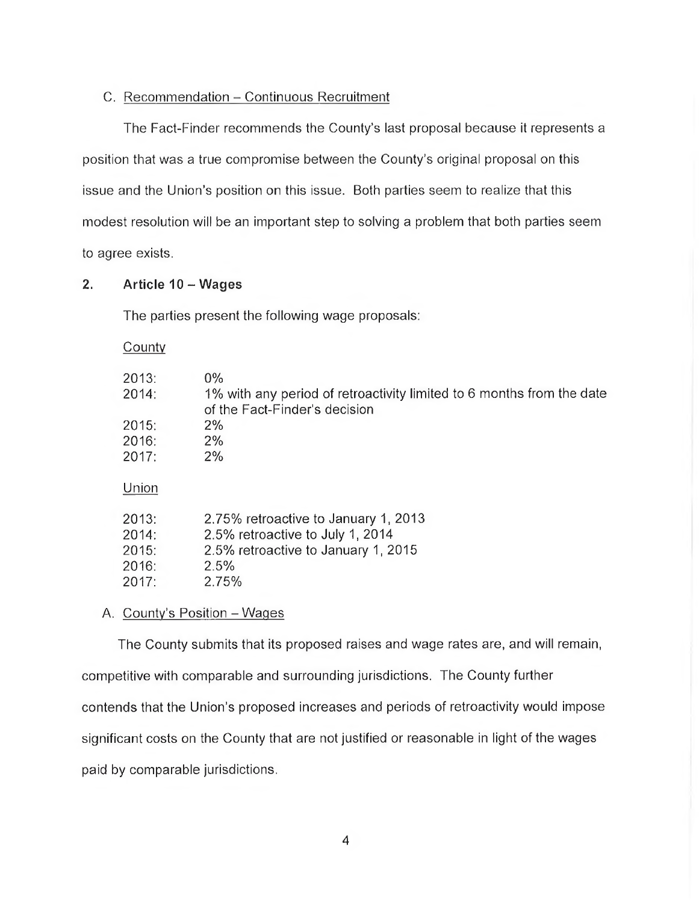## C. Recommendation - Continuous Recruitment

The Fact-Finder recommends the County's last proposal because it represents a position that was a true compromise between the County's original proposal on this issue and the Union's position on this issue. Both parties seem to realize that this modest resolution will be an important step to solving a problem that both parties seem to agree exists.

## **2. Article 10 - Wages**

The parties present the following wage proposals:

**County** 

| 2013:<br>2014:<br>2015:<br>2016:<br>2017: | $0\%$<br>1% with any period of retroactivity limited to 6 months from the date<br>of the Fact-Finder's decision<br>$2\%$<br>2%<br>2% |
|-------------------------------------------|--------------------------------------------------------------------------------------------------------------------------------------|
| Union                                     |                                                                                                                                      |
| 2013:<br>2014:<br>2015:<br>2016:<br>2017: | 2.75% retroactive to January 1, 2013<br>2.5% retroactive to July 1, 2014<br>2.5% retroactive to January 1, 2015<br>2.5%<br>2.75%     |

## A. County's Position - Wages

The County submits that its proposed raises and wage rates are, and will remain, competitive with comparable and surrounding jurisdictions. The County further contends that the Union's proposed increases and periods of retroactivity would impose significant costs on the County that are not justified or reasonable in light of the wages paid by comparable jurisdictions.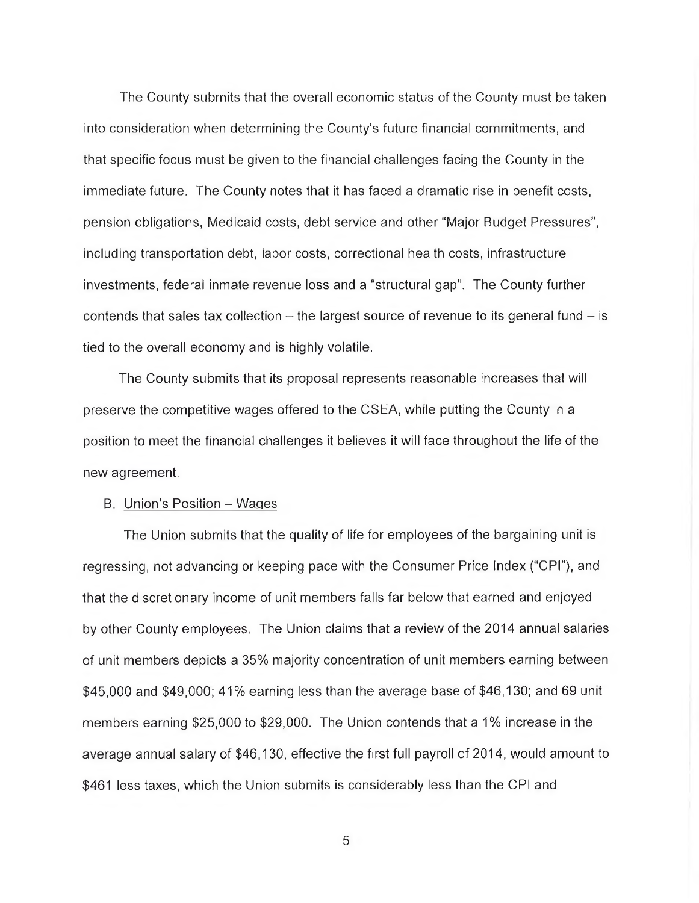The County submits that the overall economic status of the County must be taken into consideration when determining the County's future financial commitments, and that specific focus must be given to the financial challenges facing the County in the immediate future. The County notes that it has faced a dramatic rise in benefit costs, pension obligations, Medicaid costs, debt service and other "Major Budget Pressures", including transportation debt, labor costs, correctional health costs, infrastructure investments, federal inmate revenue loss and a "structural gap". The County further contends that sales tax collection  $-$  the largest source of revenue to its general fund  $-$  is tied to the overall economy and is highly volatile.

The County submits that its proposal represents reasonable increases that will preserve the competitive wages offered to the CSEA, while putting the County in a position to meet the financial challenges it believes it will face throughout the life of the new agreement.

#### B. Union's Position - Wages

The Union submits that the quality of life for employees of the bargaining unit is regressing, not advancing or keeping pace with the Consumer Price Index ("CPI"), and that the discretionary income of unit members falls far below that earned and enjoyed by other County employees. The Union claims that a review of the 2014 annual salaries of unit members depicts a 35% majority concentration of unit members earning between \$45,000 and \$49,000; 41% earning less than the average base of \$46,130; and 69 unit members earning \$25,000 to \$29,000. The Union contends that a 1% increase in the average annual salary of \$46,130, effective the first full payroll of 2014, would amount to \$461 less taxes, which the Union submits is considerably less than the CPI and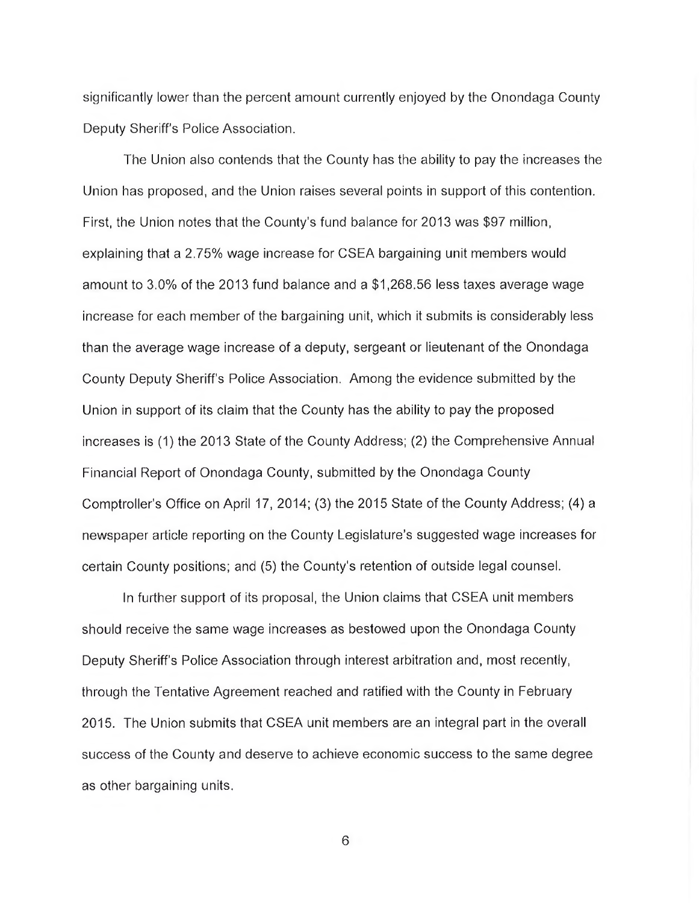significantly lower than the percent amount currently enjoyed by the Onondaga County Deputy Sheriff's Police Association.

The Union also contends that the County has the ability to pay the increases the Union has proposed, and the Union raises several points in support of this contention. First, the Union notes that the County's fund balance for 2013 was \$97 million, explaining that a 2.75% wage increase for CSEA bargaining unit members would amount to 3.0% of the 2013 fund balance and a \$1,268.56 less taxes average wage increase for each member of the bargaining unit, which it submits is considerably less than the average wage increase of a deputy, sergeant or lieutenant of the Onondaga County Deputy Sheriff's Police Association. Among the evidence submitted by the Union in support of its claim that the County has the ability to pay the proposed increases is (1) the 2013 State of the County Address; (2) the Comprehensive Annual Financial Report of Onondaga County, submitted by the Onondaga County Comptroller's Office on April 17, 2014; (3) the 2015 State of the County Address; (4) a newspaper article reporting on the County Legislature's suggested wage increases for certain County positions; and (5) the County's retention of outside legal counsel.

In further support of its proposal, the Union claims that CSEA unit members should receive the same wage increases as bestowed upon the Onondaga County Deputy Sheriff's Police Association through interest arbitration and, most recently, through the Tentative Agreement reached and ratified with the County in February 2015. The Union submits that CSEA unit members are an integral part in the overall success of the County and deserve to achieve economic success to the same degree as other bargaining units.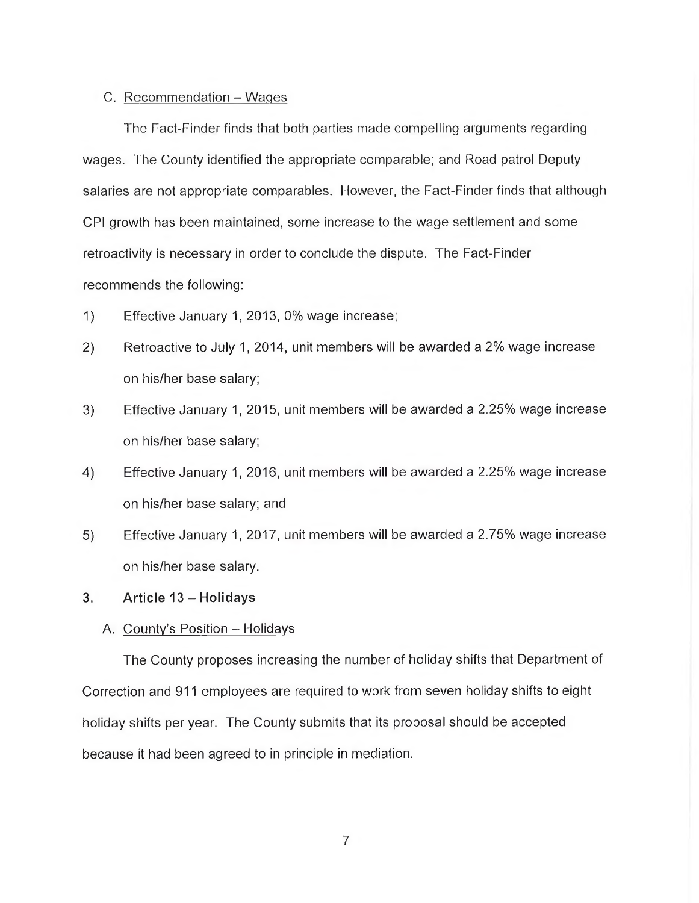## C. Recommendation - Wages

The Fact-Finder finds that both parties made compelling arguments regarding wages. The County identified the appropriate comparable; and Road patrol Deputy salaries are not appropriate comparables. However, the Fact-Finder finds that although CPI growth has been maintained, some increase to the wage settlement and some retroactivity is necessary in order to conclude the dispute. The Fact-Finder recommends the following:

- 1) Effective January 1, 2013, 0% wage increase;
- 2) Retroactive to July 1, 2014, unit members will be awarded a 2% wage increase on his/her base salary;
- 3) Effective January 1, 2015, unit members will be awarded a 2.25% wage increase on his/her base salary;
- 4) Effective January 1, 2016, unit members will be awarded a 2.25% wage increase on his/her base salary; and
- 5) Effective January 1, 2017, unit members will be awarded a 2.75% wage increase on his/her base salary.

#### **3. Article 13 - Holidays**

#### A. County's Position - Holidays

The County proposes increasing the number of holiday shifts that Department of Correction and 911 employees are required to work from seven holiday shifts to eight holiday shifts per year. The County submits that its proposal should be accepted because it had been agreed to in principle in mediation.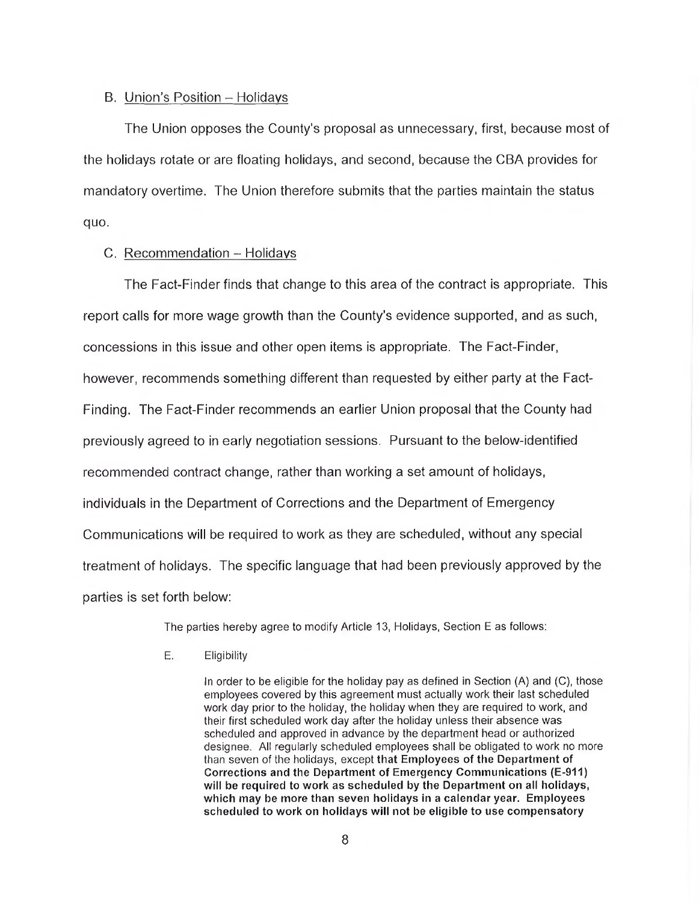## B. Union's Position - Holidays

The Union opposes the County's proposal as unnecessary, first, because most of the holidays rotate or are floating holidays, and second, because the CBA provides for mandatory overtime. The Union therefore submits that the parties maintain the status quo.

### C. Recommendation - Holidays

The Fact-Finder finds that change to this area of the contract is appropriate. This report calls for more wage growth than the County's evidence supported, and as such, concessions in this issue and other open items is appropriate. The Fact-Finder, however, recommends something different than requested by either party at the Fact-Finding. The Fact-Finder recommends an earlier Union proposal that the County had previously agreed to in early negotiation sessions. Pursuant to the below-identified recommended contract change, rather than working a set amount of holidays, individuals in the Department of Corrections and the Department of Emergency Communications will be required to work as they are scheduled, without any special treatment of holidays. The specific language that had been previously approved by the parties is set forth below:

The parties hereby agree to modify Article 13, Holidays, Section E as follows:

E. Eligibility

In order to be eligible for the holiday pay as defined in Section (A) and (C), those employees covered by this agreement must actually work their last scheduled work day prior to the holiday, the holiday when they are required to work, and their first scheduled work day after the holiday unless their absence was scheduled and approved in advance by the department head or authorized designee. All regularly scheduled employees shall be obligated to work no more than seven of the holidays, except **that Employees of the Department of Corrections and the Department of Emergency Communications (E-911) will be required to work as scheduled by the Department on all holidays, which may be more than seven holidays in a calendar year. Employees scheduled to work on holidays will not be eligible to use compensatory**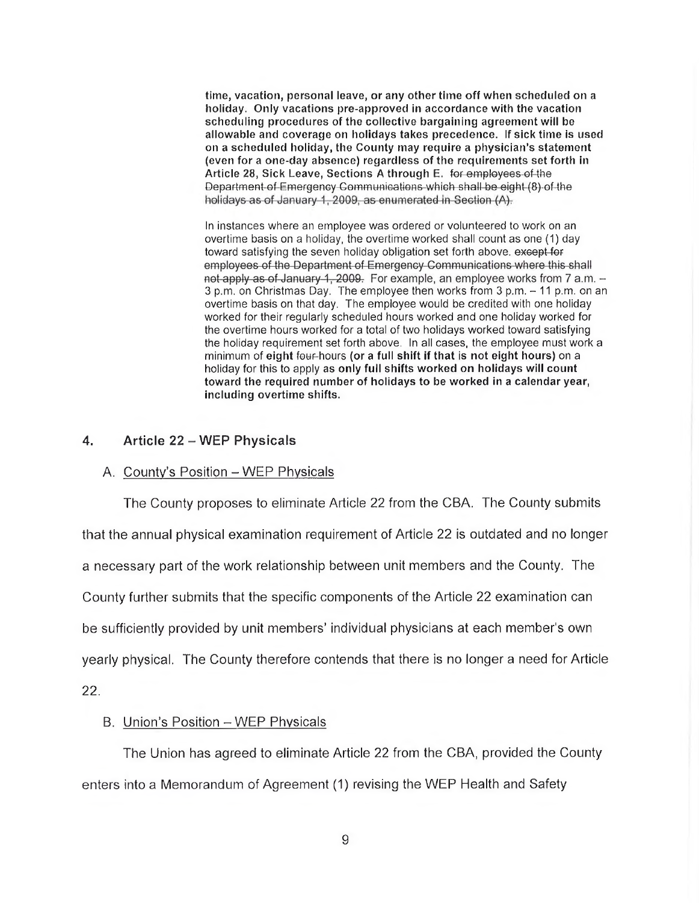**time, vacation, personal leave, or any other time off when scheduled on a holiday. Only vacations pre-approved in accordance with the vacation scheduling procedures of the collective bargaining agreement will be allowable and coverage on holidays takes precedence. If sick time is used on a scheduled holiday, the County may require a physician's statement (even for a one-day absence) regardless of the requirements set forth in Article 28, Sick Leave, Sections A through E.** fef^employees of-the Department-of-Emergency-Communications-which-shall-be-eight-(8)-of-the-<br>holidays-as-of-January-1, 2009, as enumerated in-Section-(A).

In instances where an employee was ordered or volunteered to work on an overtime basis on a holiday, the overtime worked shall count as one (1) day toward satisfying the seven holiday obligation set forth above. except for<br>employees of the Department of Emergency Communications where this shall not apply as of January 1, 2009. For example, an employee works from 7 a.m. -3 p.m. on Christmas Day. The employee then works from 3 p.m. - 11 p.m. on an overtime basis on that day. The employee would be credited with one holiday worked for their regularly scheduled hours worked and one holiday worked for the overtime hours worked for a total of two holidays worked toward satisfying the holiday requirement set forth above. In all cases, the employee must work a minimum of **eight** four-hours **(or a full shift if that is not eight hours)** on a holiday for this to apply **as only full shifts worked on holidays will count toward the required number of holidays to be worked in a calendar year, including overtime shifts.**

## **4. Article 22 - WEP Physicals**

#### A. County's Position - WEP Physicals

The County proposes to eliminate Article 22 from the CBA. The County submits that the annual physical examination requirement of Article 22 is outdated and no longer a necessary part of the work relationship between unit members and the County. The County further submits that the specific components of the Article 22 examination can be sufficiently provided by unit members' individual physicians at each member's own yearly physical. The County therefore contends that there is no longer a need for Article 22.

## B. Union's Position - WEP Physicals

The Union has agreed to eliminate Article 22 from the CBA, provided the County enters into a Memorandum of Agreement (1) revising the WEP Health and Safety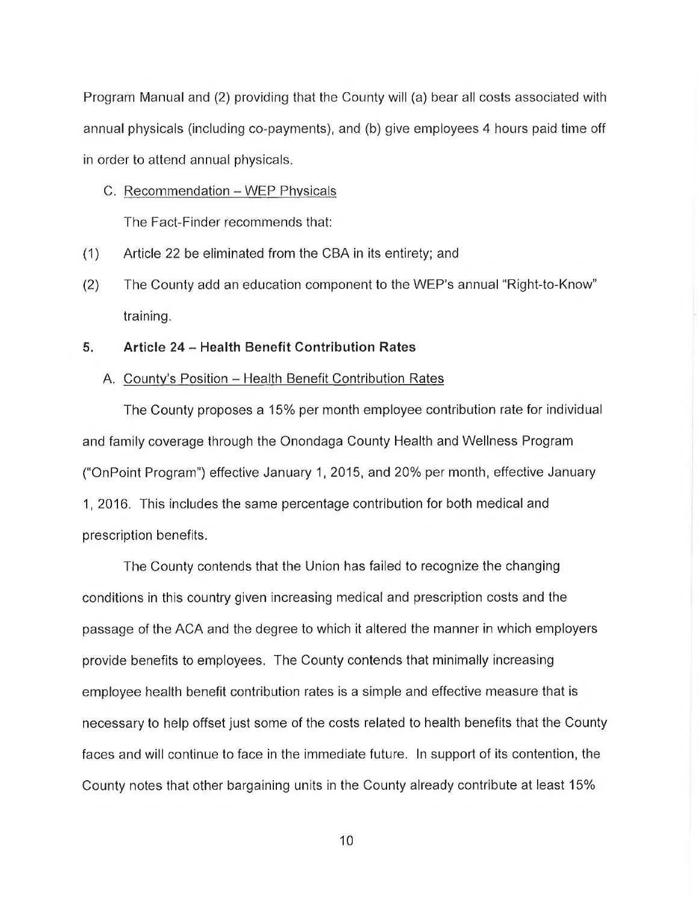Program Manual and (2) providing that the County will (a) bear all costs associated with annual physicals (including co-payments), and (b) give employees 4 hours paid time off in order to attend annual physicals.

C. Recommendation - WEP Physicals

The Fact-Finder recommends that:

- (1) Article 22 be eliminated from the CBA in its entirety: and
- (2) The County add an education component to the WEP's annual "Right-to-Know" training.

## **5. Article 24 - Health Benefit Contribution Rates**

#### A. County's Position - Health Benefit Contribution Rates

The County proposes a 15% per month employee contribution rate for individual and family coverage through the Onondaga County Health and Wellness Program ("OnPoint Program") effective January 1,2015, and 20% per month, effective January 1, 2016. This includes the same percentage contribution for both medical and prescription benefits.

The County contends that the Union has failed to recognize the changing conditions in this country given increasing medical and prescription costs and the passage of the ACA and the degree to which it altered the manner in which employers provide benefits to employees. The County contends that minimally increasing employee health benefit contribution rates is a simple and effective measure that is necessary to help offset just some of the costs related to health benefits that the County faces and will continue to face in the immediate future. In support of its contention, the County notes that other bargaining units in the County already contribute at least 15%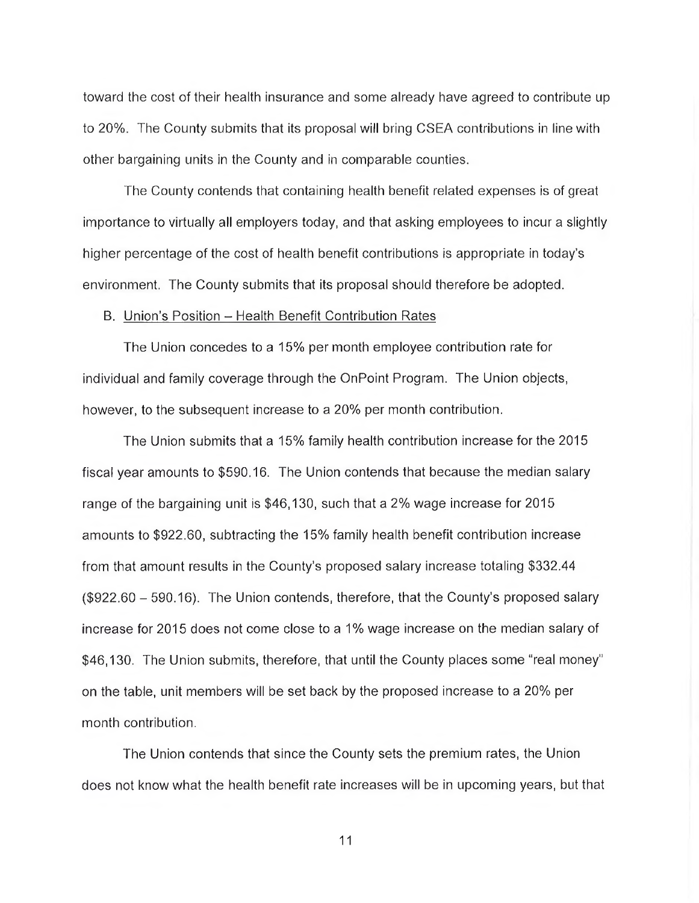toward the cost of their health insurance and some already have agreed to contribute up to 20%. The County submits that its proposal will bring CSEA contributions in line with other bargaining units in the County and in comparable counties.

The County contends that containing health benefit related expenses is of great importance to virtually all employers today, and that asking employees to incur a slightly higher percentage of the cost of health benefit contributions is appropriate in today's environment. The County submits that its proposal should therefore be adopted.

#### B. Union's Position - Health Benefit Contribution Rates

The Union concedes to a 15% per month employee contribution rate for individual and family coverage through the OnPoint Program. The Union objects, however, to the subsequent increase to a 20% per month contribution.

The Union submits that a 15% family health contribution increase for the 2015 fiscal year amounts to \$590.16. The Union contends that because the median salary range of the bargaining unit is \$46,130, such that a 2% wage increase for 2015 amounts to \$922.60, subtracting the 15% family health benefit contribution increase from that amount results in the County's proposed salary increase totaling \$332.44 (\$922.60 - 590.16). The Union contends, therefore, that the County's proposed salary increase for 2015 does not come close to a 1% wage increase on the median salary of \$46,130. The Union submits, therefore, that until the County places some "real money'' on the table, unit members will be set back by the proposed increase to a 20% per month contribution.

The Union contends that since the County sets the premium rates, the Union does not know what the health benefit rate increases will be in upcoming years, but that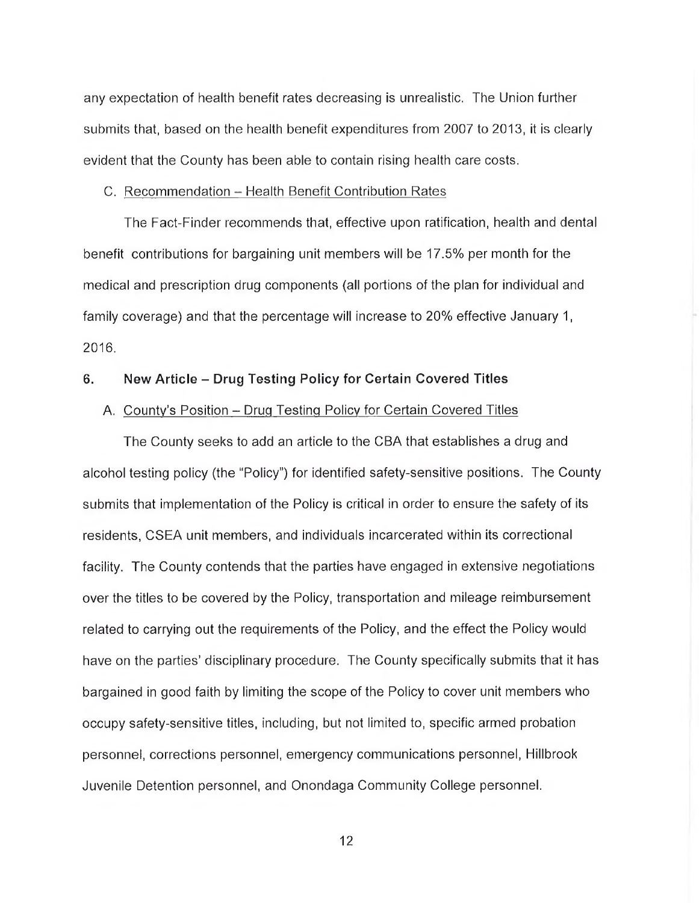any expectation of health benefit rates decreasing is unrealistic. The Union further submits that, based on the health benefit expenditures from 2007 to 2013, it is clearly evident that the County has been able to contain rising health care costs.

### C. Recommendation - Health Benefit Contribution Rates

The Fact-Finder recommends that, effective upon ratification, health and dental benefit contributions for bargaining unit members will be 17.5% per month for the medical and prescription drug components (all portions of the plan for individual and family coverage) and that the percentage will increase to 20% effective January 1, 2016.

## **6. New Article - Drug Testing Policy for Certain Covered Titles**

## A. County's Position - Drug Testing Policy for Certain Covered Titles

The County seeks to add an article to the CBA that establishes a drug and alcohol testing policy (the "Policy") for identified safety-sensitive positions. The County submits that implementation of the Policy is critical in order to ensure the safety of its residents, CSEA unit members, and individuals incarcerated within its correctional facility. The County contends that the parties have engaged in extensive negotiations over the titles to be covered by the Policy, transportation and mileage reimbursement related to carrying out the requirements of the Policy, and the effect the Policy would have on the parties' disciplinary procedure. The County specifically submits that it has bargained in good faith by limiting the scope of the Policy to cover unit members who occupy safety-sensitive titles, including, but not limited to, specific armed probation personnel, corrections personnel, emergency communications personnel, Hillbrook Juvenile Detention personnel, and Onondaga Community College personnel.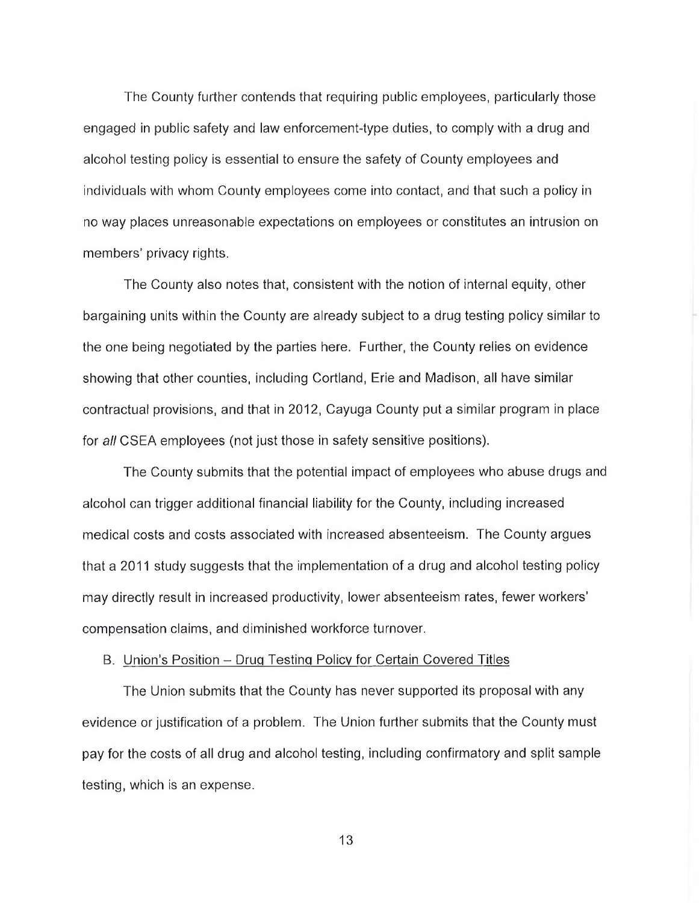The County further contends that requiring public employees, particularly those engaged in public safety and law enforcement-type duties, to comply with a drug and alcohol testing policy is essential to ensure the safety of County employees and individuals with whom County employees come into contact, and that such a policy in no way places unreasonable expectations on employees or constitutes an intrusion on members' privacy rights.

The County also notes that, consistent with the notion of internal equity, other bargaining units within the County are already subject to a drug testing policy similar to the one being negotiated by the parties here. Further, the County relies on evidence showing that other counties, including Cortland, Erie and Madison, all have similar contractual provisions, and that in 2012, Cayuga County put a similar program in place for *all* CSEA employees (not just those in safety sensitive positions).

The County submits that the potential impact of employees who abuse drugs and alcohol can trigger additional financial liability for the County, including increased medical costs and costs associated with increased absenteeism. The County argues that a 2011 study suggests that the implementation of a drug and alcohol testing policy may directly result in increased productivity, lower absenteeism rates, fewer workers' compensation claims, and diminished workforce turnover.

#### B. Union's Position - Drug Testing Policy for Certain Covered Titles

The Union submits that the County has never supported its proposal with any evidence or justification of a problem. The Union further submits that the County must pay for the costs of all drug and alcohol testing, including confirmatory and split sample testing, which is an expense.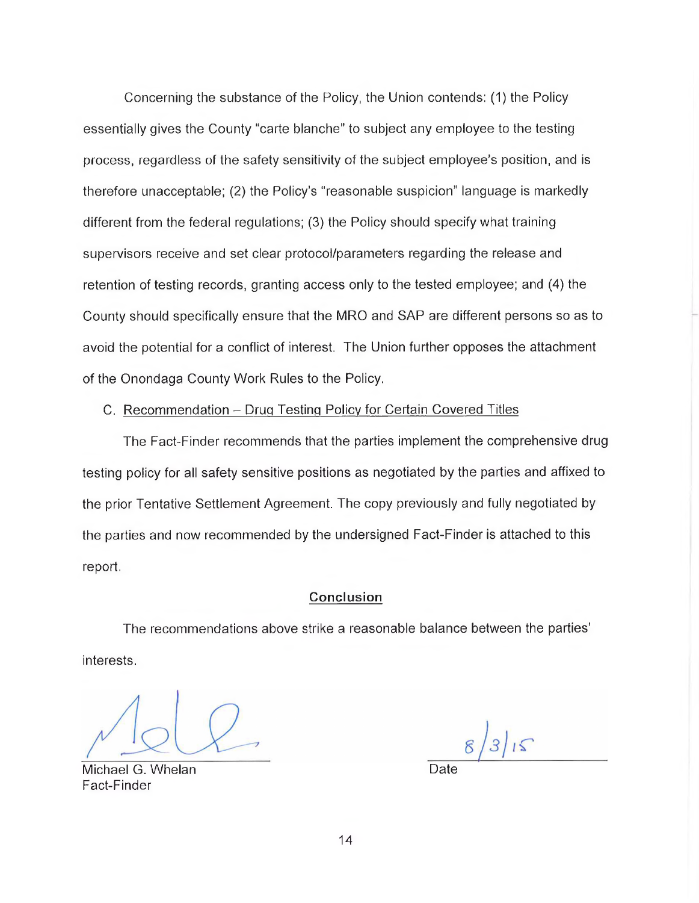Concerning the substance of the Policy, the Union contends: (1) the Policy essentially gives the County "carte blanche" to subject any employee to the testing process, regardless of the safety sensitivity of the subject employee's position, and is therefore unacceptable; (2) the Policy's "reasonable suspicion" language is markedly different from the federal regulations; (3) the Policy should specify what training supervisors receive and set clear protocol/parameters regarding the release and retention of testing records, granting access only to the tested employee; and (4) the County should specifically ensure that the MRO and SAP are different persons so as to avoid the potential for a conflict of interest. The Union further opposes the attachment of the Onondaga County Work Rules to the Policy.

## C. Recommendation - Drug Testing Policy for Certain Covered Titles

The Fact-Finder recommends that the parties implement the comprehensive drug testing policy for all safety sensitive positions as negotiated by the parties and affixed to the prior Tentative Settlement Agreement. The copy previously and fully negotiated by the parties and now recommended by the undersigned Fact-Finder is attached to this report.

#### **Conclusion**

The recommendations above strike a reasonable balance between the parties' interests.

Michael G. Whelan Fact-Finder

 $315$ 

14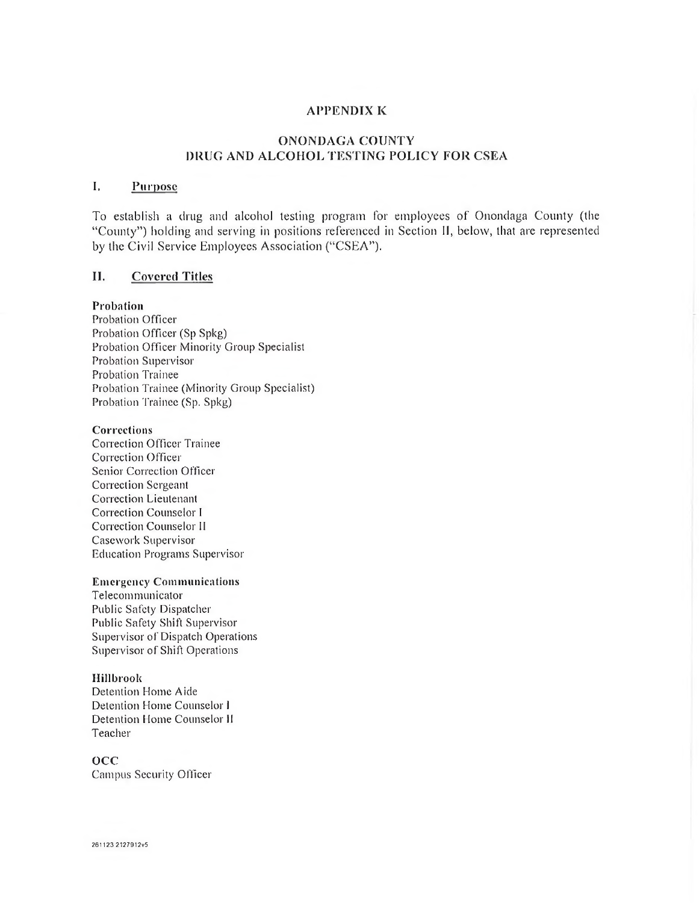#### **APPENDIX K**

## **ONONDAGA COUNTY DRUG AND ALCOHOL TESTING POLICY FOR CSEA**

## **I. Purpose**

To establish a drug and alcohol testing program for employees of Onondaga County (the "County") holding and serving in positions referenced in Section **II,** below, that are represented by the Civil Service Employees Association ("CSEA").

## **II. Covered Titles**

#### **Probation**

Probation Officer Probation Officer (Sp Spkg) Probation Officer Minority Group Specialist Probation Supervisor Probation Trainee Probation Trainee (Minority Group Specialist) Probation Trainee (Sp. Spkg)

#### **Corrections**

Correction Officer Trainee Correction Officer Senior Correction Officer Correction Sergeant Correction Lieutenant Correction Counselor I Correction Counselor **II** Casework Supervisor Education Programs Supervisor

#### **Emergency Communications**

Telecommunicator Public Safety Dispatcher Public Safety Shift Supervisor Supervisor of Dispatch Operations Supervisor of Shift Operations

#### **Ilillbrook**

Detention Home Aide Detention Home Counselor I Detention Home Counselor **II** Teacher

#### o c c

Campus Security Officer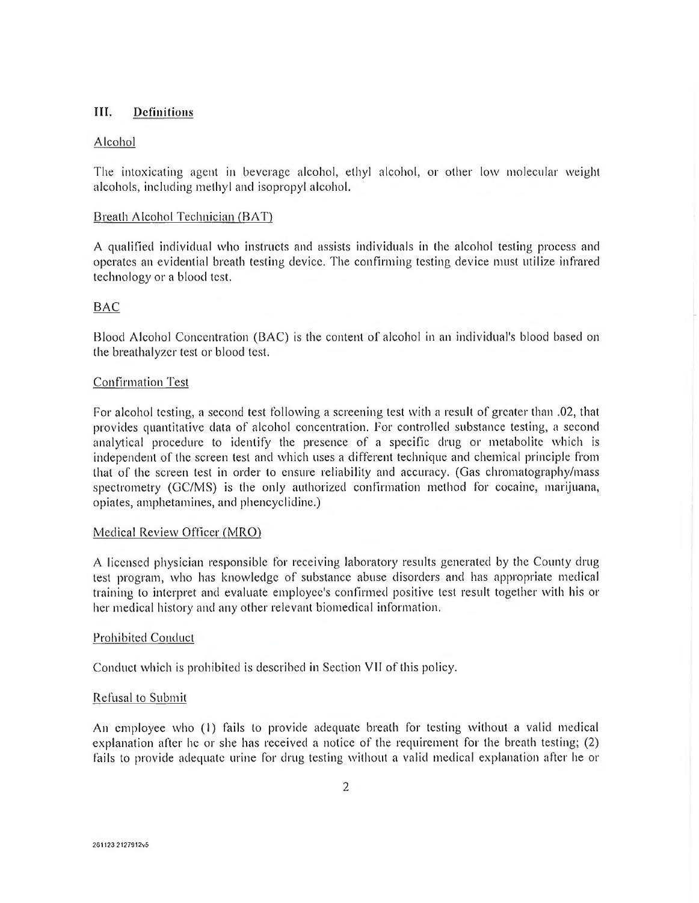## III. Definitions

## Alcohol

The intoxicating agent in beverage alcohol, ethyl alcohol, or other low molecular weight alcohols, including methyl and isopropyl alcohol.

## Breath Alcohol Technician (BAT)

A qualified individual who instructs and assists individuals in the alcohol testing process and operates an evidential breath testing device. The confirming testing device must utilize infrared technology or a blood test.

## BAC

Blood Alcohol Concentration (BAC) is the content of alcohol in an individual's blood based on the breathalyzer test or blood test.

## Confirmation Test

For alcohol testing, a second test following a screening test with a result of greater than .02, that provides quantitative data of alcohol concentration. For controlled substance testing, a second analytical procedure to identify the presence of a specific drug or metabolite which is independent of the screen test and which uses a different technique and chemical principle from that of the screen test in order to ensure reliability and accuracy. (Gas chromatography/mass spectrometry (GC/MS) is the only authorized confirmation method for cocaine, marijuana, opiates, amphetamines, and phencyclidine.)

## Medical Review Officer (MRO)

A licensed physician responsible for receiving laboratory results generated by the County drug test program, who has knowledge of substance abuse disorders and has appropriate medical training to interpret and evaluate employee's confirmed positive test result together with his or her medical history and any other relevant biomedical information.

## Prohibited Conduct

Conduct which is prohibited is described in Section VII of this policy.

#### Refusal to Submit

An employee who (1) fails to provide adequate breath for testing without a valid medical explanation after he or she has received a notice of the requirement for the breath testing; (2) fails to provide adequate urine for drug testing without a valid medical explanation after he or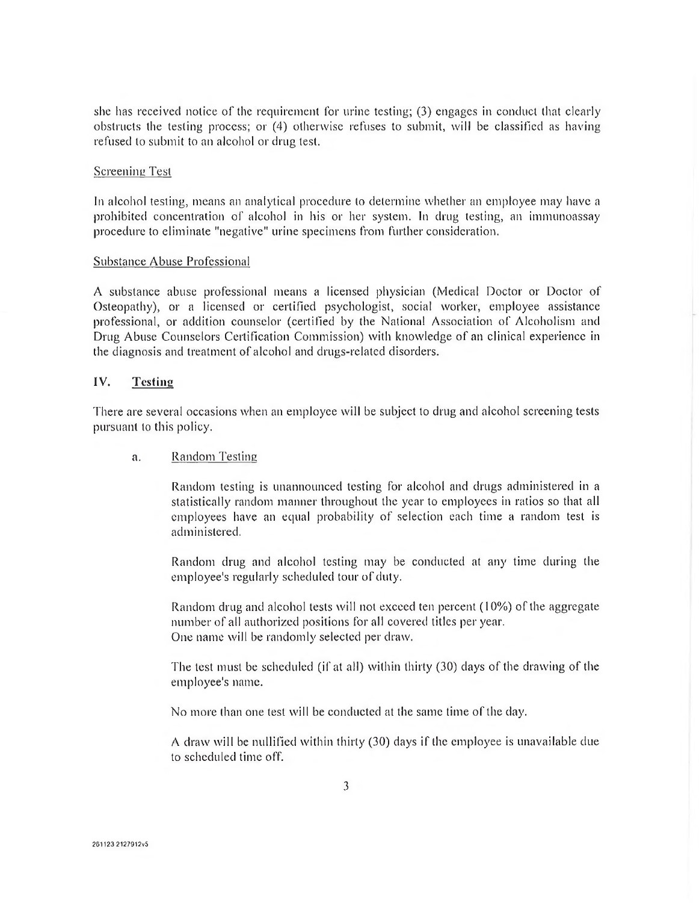she has received notice of the requirement for urine testing; (3) engages in conduct that clearly obstructs the testing process; or (4) otherwise refuses to submit, will be classified as having refused to submit to an alcohol or drug test.

#### Screening Test

In alcohol testing, means an analytical procedure to determine whether an employee may have a prohibited concentration of alcohol in his or her system. In drug testing, an immunoassay procedure to eliminate "negative" urine specimens from further consideration.

#### Substance Abuse Professional

A substance abuse professional means a licensed physician (Medical Doctor or Doctor of Osteopathy), or a licensed or certified psychologist, social worker, employee assistance professional, or addition counselor (certified by the National Association of Alcoholism and Drug Abuse Counselors Certification Commission) with knowledge of an clinical experience in the diagnosis and treatment of alcohol and drugs-related disorders.

### **IV. Testing**

There are several occasions when an employee will be subject to drug and alcohol screening tests pursuant to this policy.

#### a. Random Testing

Random testing is unannounced testing for alcohol and drugs administered in a statistically random manner throughout the year to employees in ratios so that all employees have an equal probability of selection each time a random test is administered.

Random drug and alcohol testing may be conducted at any time during the employee's regularly scheduled tour of duty.

Random drug and alcohol tests will not exceed ten percent (10%) of the aggregate number of all authorized positions for all covered titles per year. One name will be randomly selected per draw.

The test must be scheduled (if at all) within thirty (30) days of the drawing of the employee's name.

No more than one test will be conducted at the same time of the day.

A draw will be nullified within thirty (30) days if the employee is unavailable due to scheduled time off.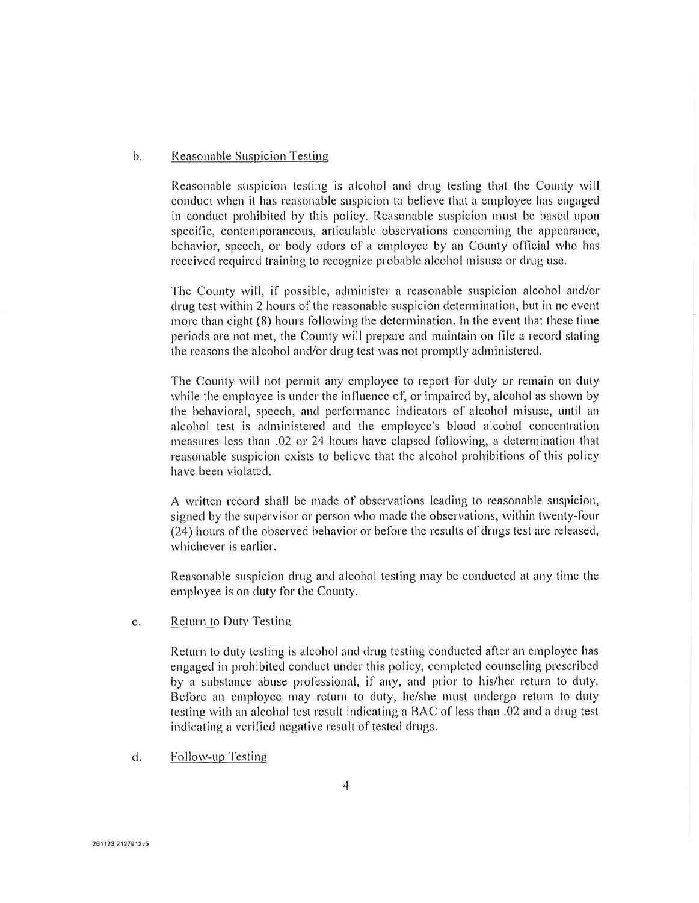#### b. Reasonable Suspicion Testing

Reasonable suspicion testing is alcohol and drug testing that the County will conduct when it has reasonable suspicion to believe that a employee has engaged in conduct prohibited by this policy. Reasonable suspicion must be based upon specific, contemporaneous, articulable observations concerning the appearance, behavior, speech, or body odors of a employee by an County official who has received required training to recognize probable alcohol misuse or drug use.

The County will, if possible, administer a reasonable suspicion alcohol and/or drug test within 2 hours of the reasonable suspicion determination, but in no event more than eight (8) hours following the determination. In the event that these time periods are not met, the County will prepare and maintain on file a record stating the reasons the alcohol and/or drug test was not promptly administered.

The County will not permit any employee to report for duty or remain on duty while the employee is under the influence of, or impaired by, alcohol as shown by the behavioral, speech, and performance indicators of alcohol misuse, until an alcohol test is administered and the employee's blood alcohol concentration measures less than .02 or 24 hours have elapsed following, a determination that reasonable suspicion exists to believe that the alcohol prohibitions of this policy have been violated.

A written record shall be made of observations leading to reasonable suspicion, signed by the supervisor or person who made the observations, within twenty-four (24) hours of the observed behavior or before the results of drugs test are released, whichever is earlier.

Reasonable suspicion drug and alcohol testing may be conducted at any time the employee is on duty for the County.

c. Return to Duty Testing

Return to duty testing is alcohol and drug testing conducted after an employee has engaged in prohibited conduct under this policy, completed counseling prescribed by a substance abuse professional, if any, and prior to his/her return to duty. Before an employee may return to duty, he/she must undergo return to duty testing with an alcohol test result indicating a BAC of less than .02 and a drug test indicating a verified negative result of tested drugs.

d. Follow-up Testing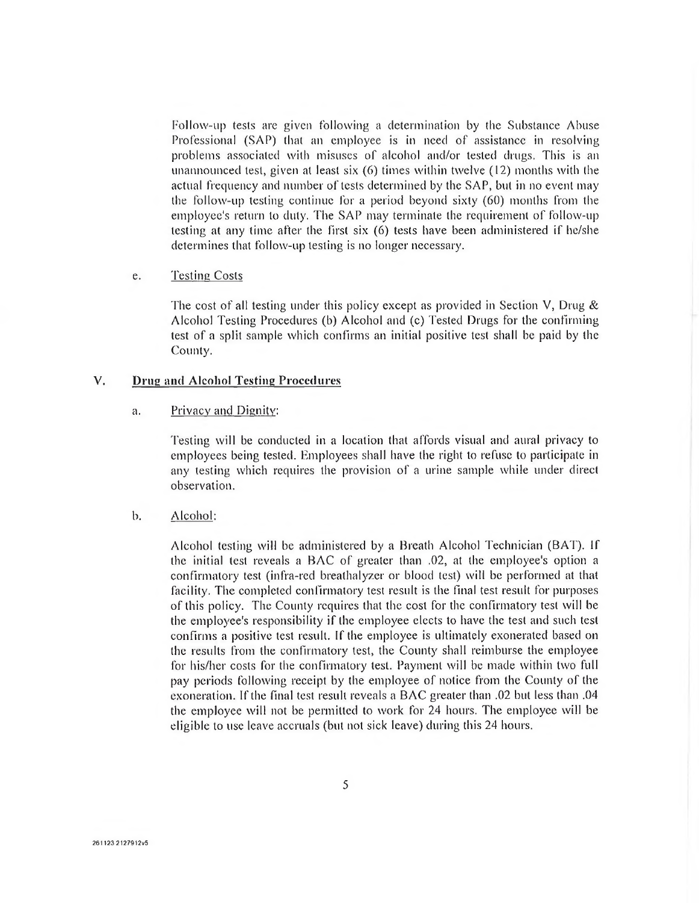Follow-up tests are given following a determination by the Substance Abuse Professional (SAP) that an employee is in need of assistance in resolving problems associated with misuses of alcohol and/or tested drugs. This is an unannounced test, given at least six (6) times within twelve (12) months with the actual frequency and number of tests determined by the SAP, but in no event may the follow-up testing continue for a period beyond sixty (60) months from the employee's return to duly. The SAP may terminate the requirement of follow-up testing at any time after the first six (6) tests have been administered if he/she determines that follow-up testing is no longer necessary.

#### e. Testing Costs

The cost of all testing under this policy except as provided in Section V, Drug  $\&$ Alcohol Testing Procedures (b) Alcohol and (c) Tested Drugs for the confirming test of a split sample which confirms an initial positive test shall be paid by the County.

#### V. **Drug and Alcohol Testing Procedures**

#### a. Privacy and Dignity:

Testing will be conducted in a location that affords visual and aural privacy to employees being tested. Employees shall have the right to refuse to participate in any testing which requires the provision of a urine sample while under direct observation.

#### b. Alcohol:

Alcohol testing will be administered by a Breath Alcohol Technician (BAT). If the initial test reveals a BAC of greater than .02, at the employee's option a confirmatory test (infra-red breathalyzer or blood test) will be performed at that facility. The completed confirmatory test result is the final test result for purposes of this policy. The County requires that the cost for the confirmatory test will be the employee's responsibility if the employee elects to have the test and such test confirms a positive test result. If the employee is ultimately exonerated based on the results from the confirmatory test, the County shall reimburse the employee for his/her costs for the confirmatory test. Payment will be made within two full pay periods following receipt by the employee of notice from the County of the exoneration. If the final test result reveals a BAC greater than .02 but less than .04 the employee will not be permitted to work for 24 hours. The employee will be eligible to use leave accruals (but not sick leave) during this 24 hours.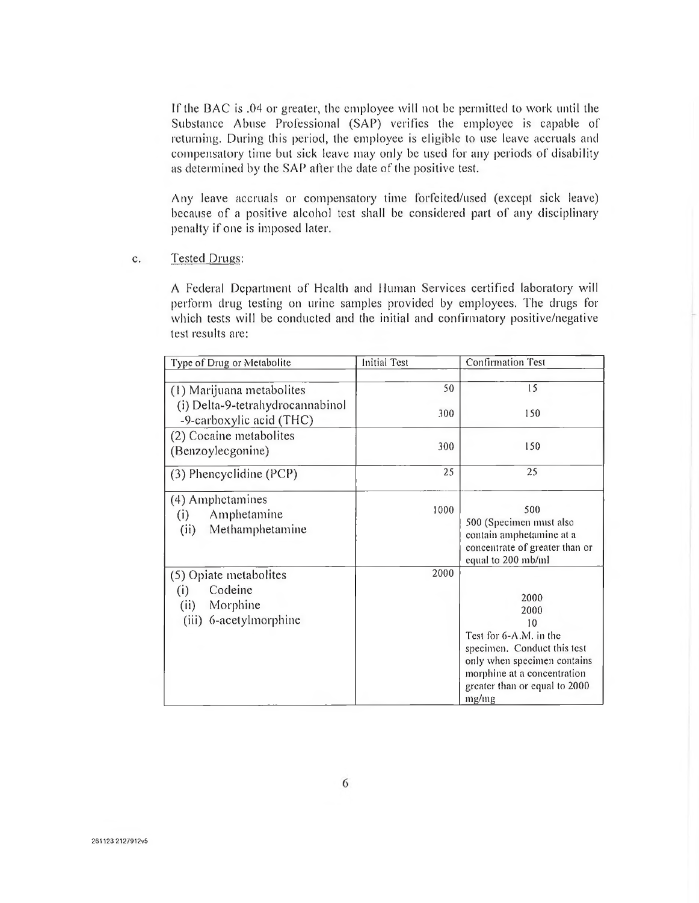If the BAC is .04 or greater, the employee will not be permitted to work until the Substance Abuse Professional (SAP) verifies the employee is capable of returning. During this period, the employee is eligible to use leave accruals and compensatory time but sick leave may only be used for any periods of disability as determined by the SAP after the date of the positive test.

Any leave accruals or compensatory time forfeited/used (except sick leave) because of a positive alcohol test shall be considered part of any disciplinary penalty if one is imposed later.

c. Tested Drugs:

A Federal Department of Health and Human Services certified laboratory will perform drug testing on urine samples provided by employees. The drugs for which tests will be conducted and the initial and confirmatory positive/negative test results are:

| Type of Drug or Metabolite                                        | <b>Initial Test</b> | <b>Confirmation Test</b>                                                                                           |
|-------------------------------------------------------------------|---------------------|--------------------------------------------------------------------------------------------------------------------|
|                                                                   |                     |                                                                                                                    |
| (1) Marijuana metabolites                                         | 50                  | 15                                                                                                                 |
| (i) Delta-9-tetrahydrocannabinol<br>-9-carboxylic acid (THC)      | 300                 | 150                                                                                                                |
| (2) Cocaine metabolites                                           |                     |                                                                                                                    |
| (Benzoylecgonine)                                                 | 300                 | 150                                                                                                                |
| (3) Phencyclidine (PCP)                                           | 25                  | 25                                                                                                                 |
| (4) Amphetamines<br>Amphetamine<br>(i)<br>Methamphetamine<br>(ii) | 1000                | 500<br>500 (Specimen must also<br>contain amphetamine at a<br>concentrate of greater than or<br>equal to 200 mb/ml |
| (5) Opiate metabolites                                            | 2000                |                                                                                                                    |
| Codeine<br>(i)                                                    |                     |                                                                                                                    |
| (ii)<br>Morphine                                                  |                     | 2000<br>2000                                                                                                       |
| (iii) 6-acetylmorphine                                            |                     | 10                                                                                                                 |
|                                                                   |                     | Test for 6-A.M. in the                                                                                             |
|                                                                   |                     | specimen. Conduct this test                                                                                        |
|                                                                   |                     | only when specimen contains                                                                                        |
|                                                                   |                     | morphine at a concentration                                                                                        |
|                                                                   |                     | greater than or equal to 2000<br>mg/mg                                                                             |
|                                                                   |                     |                                                                                                                    |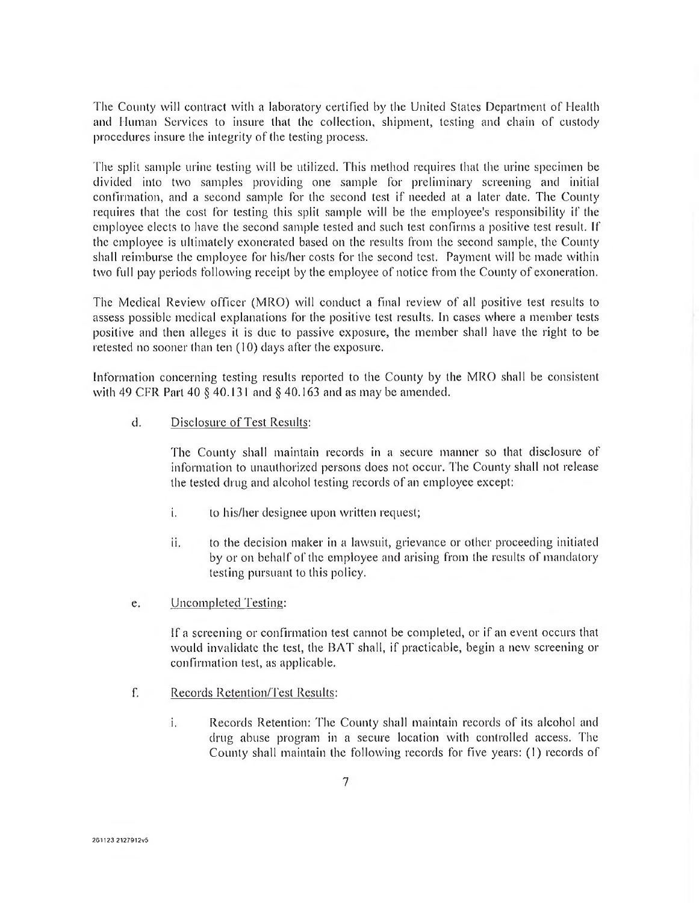The County will contract with a laboratory certified by the United States Department of Health and Human Services to insure that the collection, shipment, testing and chain of custody procedures insure the integrity of the testing process.

The split sample urine testing will be utilized. This method requires that the urine specimen be divided into two samples providing one sample for preliminary screening and initial confirmation, and a second sample for the second test if needed at a later date. The County requires that the cost for testing this split sample will be the employee's responsibility if the employee elects to have the second sample tested and such test confirms a positive test result. If the employee is ultimately exonerated based on the results from the second sample, the County shall reimburse the employee for his/her costs for the second test. Payment will be made within two full pay periods following receipt by the employee of notice from the County of exoneration.

The Medical Review officer (MRO) will conduct a final review of all positive test results to assess possible medical explanations for the positive test results. In cases where a member tests positive and then alleges it is due to passive exposure, the member shall have the right to be retested no sooner than ten (10) days after the exposure.

Information concerning testing results reported to the County by the MRO shall be consistent with 49 CFR Part 40 § 40.131 and § 40.163 and as may be amended.

d. Disclosure of Test Results:

The County shall maintain records in a secure manner so that disclosure of information to unauthorized persons does not occur. The County shall not release the tested drug and alcohol testing records of an employee except:

- i. to his/her designee upon written request;
- ii. to the decision maker in a lawsuit, grievance or other proceeding initiated by or on behalf of the employee and arising from the results of mandatory testing pursuant to this policy.
- e. Uncompleted Testing:

If a screening or confirmation test cannot be completed, or if an event occurs that would invalidate the test, the BAT shall, if practicable, begin a new screening or confirmation test, as applicable.

- f. Records Retention/Test Results:
	- i. Records Retention: 'flic County shall maintain records of its alcohol and drug abuse program in a secure location with controlled access. The County shall maintain the following records for five years: (1) records of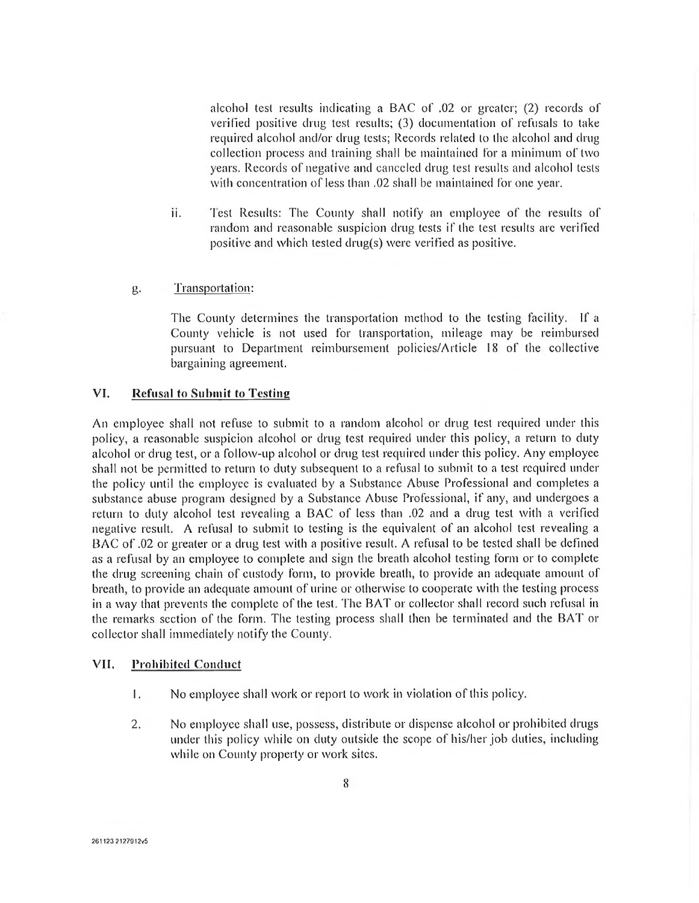alcohol test results indicating a BAC of .02 or greater; (2) records of verified positive drug test results; (3) documentation of refusals to take required alcohol and/or drug tests; Records related to the alcohol and drug collection process and training shall be maintained for a minimum of two years. Records of negative and canceled drug test results and alcohol tests with concentration of less than .02 shall be maintained for one year.

ii. Test Results: The County shall notify an employee of the results of random and reasonable suspicion drug tests if the test results are verified positive and which tested drug(s) were verified as positive.

#### g. Transportation:

The County determines the transportation method to the testing facility. If a County vehicle is not used for transportation, mileage may be reimbursed pursuant to Department reimbursement policies/Article 18 of the collective bargaining agreement.

## **VI. Refusal to Submit to Testing**

An employee shall not refuse to submit to a random alcohol or drug test required under this policy, a reasonable suspicion alcohol or drug test required under this policy, a return to duty alcohol or drug test, or a follow-up alcohol or drug test required under this policy. Any employee shall not be permitted to return to duty subsequent to a refusal to submit to a test required under the policy until the employee is evaluated by a Substance Abuse Professional and completes a substance abuse program designed by a Substance Abuse Professional, if any, and undergoes a return to duty alcohol test revealing a BAC of less than .02 and a drug test with a verified negative result. A refusal to submit to testing is the equivalent of an alcohol test revealing a BAC of .02 or greater or a drug test with a positive result. A refusal to be tested shall be defined as a refusal by an employee to complete and sign the breath alcohol testing form or to complete the drug screening chain of custody form, to provide breath, to provide an adequate amount of breath, to provide an adequate amount of urine or otherwise to cooperate with the testing process in a way that prevents the complete of the test. The BAT or collector shall record such refusal in the remarks section of the form. The testing process shall then be terminated and the BAT or collector shall immediately notify the County.

#### **VII. Prohibited Conduct**

- 1. No employee shall work or report to work in violation of this policy.
- 2. No employee shall use, possess, distribute or dispense alcohol or prohibited drugs under this policy while on duty outside the scope of his/her job duties, including while on County property or work sites.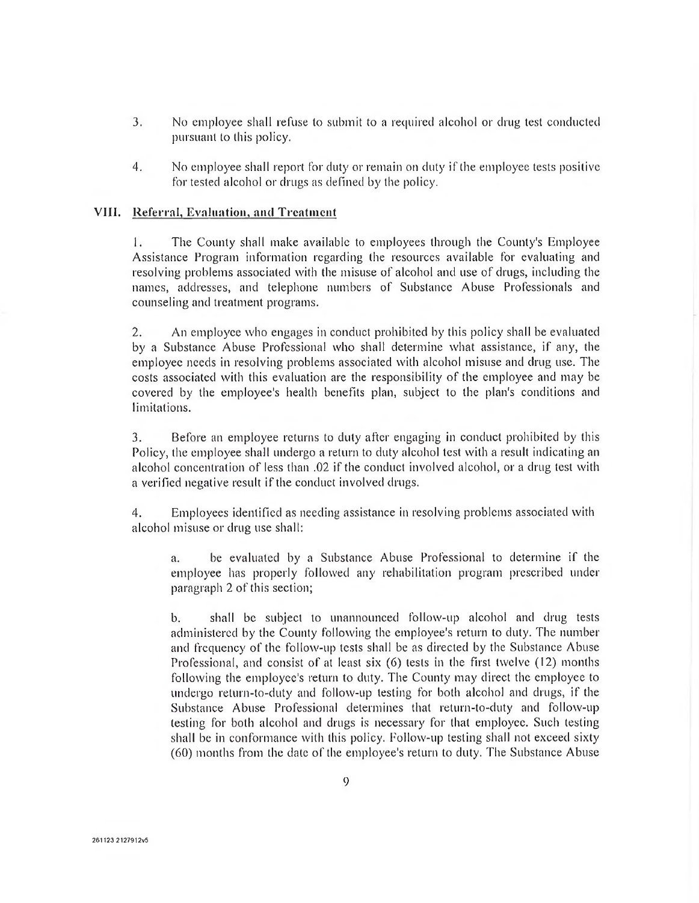- 3. No employee shall refuse to submit to a required alcohol or drug test conducted pursuant to this policy.
- 4. No employee shall report for duty or remain on duty if the employee tests positive for tested alcohol or drugs as defined by the policy.

### VIII. Referral, Evaluation, and Treatment

1. The County shall make available to employees through the County's Employee Assistance Program information regarding the resources available for evaluating and resolving problems associated with the misuse of alcohol and use of drugs, including the names, addresses, and telephone numbers of Substance Abuse Professionals and counseling and treatment programs.

2. An employee who engages in conduct prohibited by this policy shall be evaluated by a Substance Abuse Professional who shall determine what assistance, if any, the employee needs in resolving problems associated with alcohol misuse and drug use. The costs associated with this evaluation are the responsibility of the employee and may be covered by the employee's health benefits plan, subject to the plan's conditions and limitations.

3. Before an employee returns to duty after engaging in conduct prohibited by this Policy, the employee shall undergo a return to duty alcohol test with a result indicating an alcohol concentration of less than .02 if the conduct involved alcohol, or a drug test with a verified negative result if the conduct involved drugs.

4. Employees identified as needing assistance in resolving problems associated with alcohol misuse or drug use shall:

a. be evaluated by a Substance Abuse Professional to determine if the employee has properly followed any rehabilitation program prescribed under paragraph 2 of this section;

b. shall be subject to unannounced follow-up alcohol and drug tests administered by the County following the employee's return to duty. The number and frequency of the follow-up tests shall be as directed by the Substance Abuse Professional, and consist of at least six (6) tests in the first twelve (12) months following the employee's return to duty. The County may direct the employee to undergo return-to-duty and follow-up testing for both alcohol and drugs, if the Substance Abuse Professional determines that return-to-duty and follow-up testing for both alcohol and drugs is necessary for that employee. Such testing shall be in conformance with this policy. Follow-up testing shall not exceed sixty (60) months from the date of the employee's return to duty. The Substance Abuse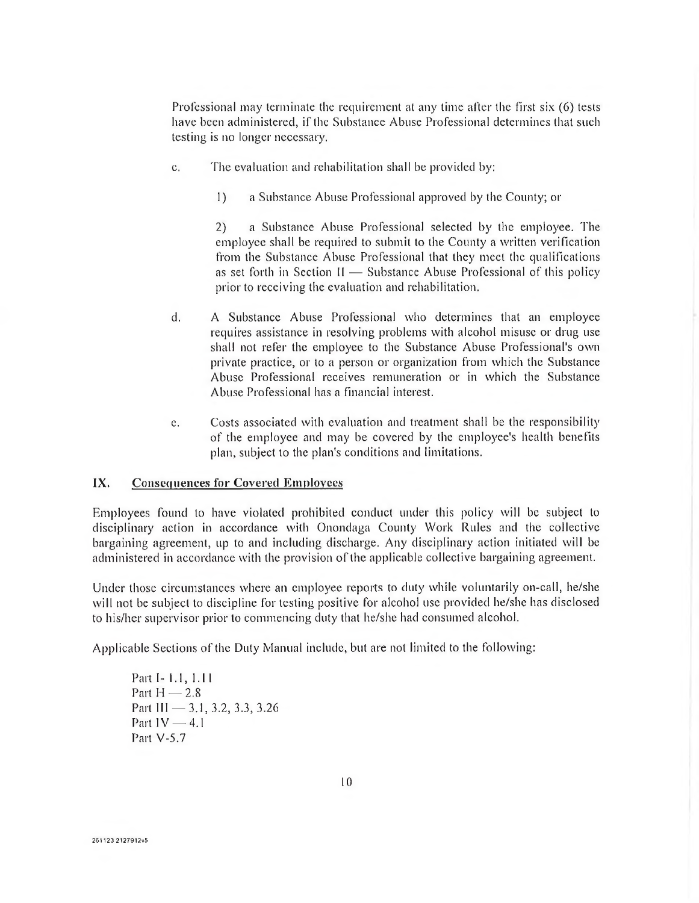Professional may terminate the requirement at any time after the first six (6) tests have been administered, if the Substance Abuse Professional determines that such testing is no longer necessary.

- c. The evaluation and rehabilitation shall be provided by:
	- 1) a Substance Abuse Professional approved by the County; or

2) a Substance Abuse Professional selected by the employee. The employee shall be required to submit to the County a written verification from the Substance Abuse Professional that they meet the qualifications as set forth in Section II — Substance Abuse Professional of this policy prior to receiving the evaluation and rehabilitation.

- d. A Substance Abuse Professional who determines that an employee requires assistance in resolving problems with alcohol misuse or drug use shall not refer the employee to the Substance Abuse Professional's own private practice, or to a person or organization from which the Substance Abuse Professional receives remuneration or in which the Substance Abuse Professional has a financial interest.
- e. Costs associated with evaluation and treatment shall be the responsibility of the employee and may be covered by the employee's health benefits plan, subject to the plan's conditions and limitations.

#### **IX.** Consequences for Covered Employees

Employees found to have violated prohibited conduct under this policy will be subject to disciplinary action in accordance with Onondaga County Work Rules and the collective bargaining agreement, up to and including discharge. Any disciplinary action initiated will be administered in accordance with the provision of the applicable collective bargaining agreement.

Under those circumstances where an employee reports to duty while voluntarily on-call, he/she will not be subject to discipline for testing positive for alcohol use provided he/she has disclosed to his/her supervisor prior to commencing duty that he/she had consumed alcohol.

Applicable Sections of the Duty Manual include, but are not limited to the following:

Part I- 1.1, 1.11 Part  $H = 2.8$ Part III — 3.1, 3.2, 3.3, 3.26 Part IV — 4.1 Part V-5.7